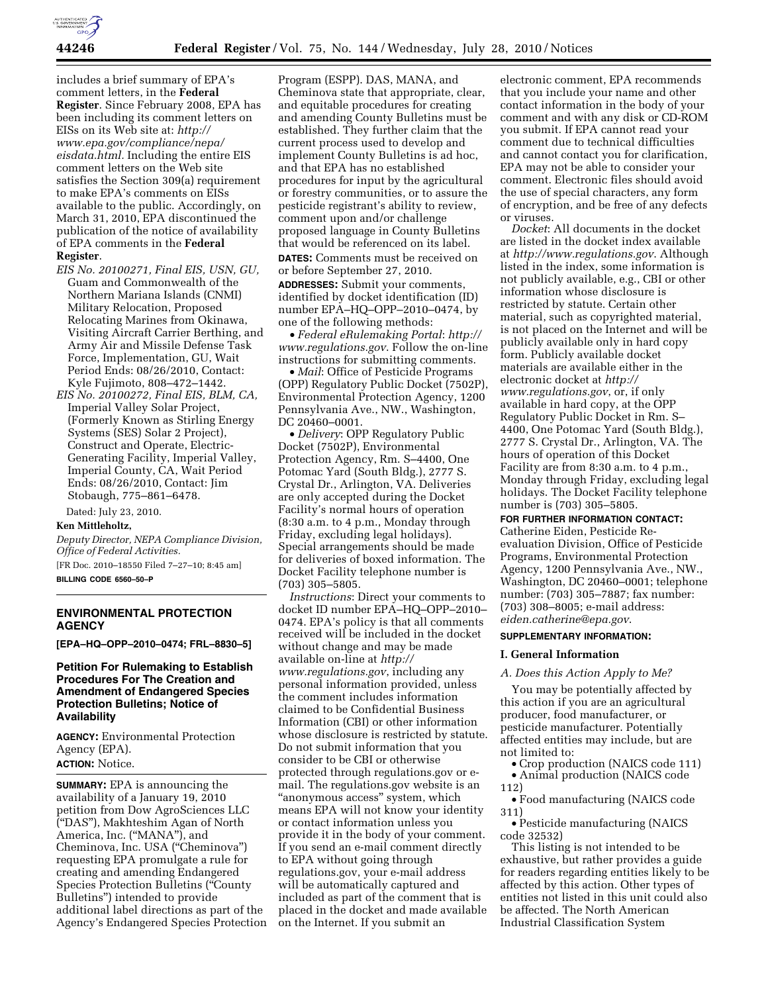

includes a brief summary of EPA's comment letters, in the **Federal Register**. Since February 2008, EPA has been including its comment letters on EISs on its Web site at: *[http://](http://www.epa.gov/compliance/nepa/eisdata.html)  [www.epa.gov/compliance/nepa/](http://www.epa.gov/compliance/nepa/eisdata.html)  [eisdata.html.](http://www.epa.gov/compliance/nepa/eisdata.html)* Including the entire EIS comment letters on the Web site satisfies the Section 309(a) requirement to make EPA's comments on EISs available to the public. Accordingly, on March 31, 2010, EPA discontinued the publication of the notice of availability of EPA comments in the **Federal Register**.

*EIS No. 20100271, Final EIS, USN, GU,*  Guam and Commonwealth of the Northern Mariana Islands (CNMI) Military Relocation, Proposed Relocating Marines from Okinawa, Visiting Aircraft Carrier Berthing, and Army Air and Missile Defense Task Force, Implementation, GU, Wait Period Ends: 08/26/2010, Contact: Kyle Fujimoto, 808–472–1442.

*EIS No. 20100272, Final EIS, BLM, CA,*  Imperial Valley Solar Project, (Formerly Known as Stirling Energy Systems (SES) Solar 2 Project), Construct and Operate, Electric-Generating Facility, Imperial Valley, Imperial County, CA, Wait Period Ends: 08/26/2010, Contact: Jim Stobaugh, 775–861–6478.

Dated: July 23, 2010.

#### **Ken Mittleholtz,**

*Deputy Director, NEPA Compliance Division, Office of Federal Activities.*  [FR Doc. 2010–18550 Filed 7–27–10; 8:45 am]

**BILLING CODE 6560–50–P** 

# **ENVIRONMENTAL PROTECTION AGENCY**

**[EPA–HQ–OPP–2010–0474; FRL–8830–5]** 

# **Petition For Rulemaking to Establish Procedures For The Creation and Amendment of Endangered Species Protection Bulletins; Notice of Availability**

**AGENCY:** Environmental Protection Agency (EPA). **ACTION:** Notice.

**SUMMARY:** EPA is announcing the availability of a January 19, 2010 petition from Dow AgroSciences LLC (''DAS''), Makhteshim Agan of North America, Inc. (''MANA''), and Cheminova, Inc. USA (''Cheminova'') requesting EPA promulgate a rule for creating and amending Endangered Species Protection Bulletins (''County Bulletins'') intended to provide additional label directions as part of the Agency's Endangered Species Protection

Program (ESPP). DAS, MANA, and Cheminova state that appropriate, clear, and equitable procedures for creating and amending County Bulletins must be established. They further claim that the current process used to develop and implement County Bulletins is ad hoc, and that EPA has no established procedures for input by the agricultural or forestry communities, or to assure the pesticide registrant's ability to review, comment upon and/or challenge proposed language in County Bulletins that would be referenced on its label.

**DATES:** Comments must be received on or before September 27, 2010.

**ADDRESSES:** Submit your comments, identified by docket identification (ID) number EPA–HQ–OPP–2010–0474, by one of the following methods:

• *Federal eRulemaking Portal*: *[http://](http://www.regulations.gov)  [www.regulations.gov](http://www.regulations.gov)*. Follow the on-line instructions for submitting comments.

• *Mail*: Office of Pesticide Programs (OPP) Regulatory Public Docket (7502P), Environmental Protection Agency, 1200 Pennsylvania Ave., NW., Washington, DC 20460–0001.

• *Delivery*: OPP Regulatory Public Docket (7502P), Environmental Protection Agency, Rm. S–4400, One Potomac Yard (South Bldg.), 2777 S. Crystal Dr., Arlington, VA. Deliveries are only accepted during the Docket Facility's normal hours of operation (8:30 a.m. to 4 p.m., Monday through Friday, excluding legal holidays). Special arrangements should be made for deliveries of boxed information. The Docket Facility telephone number is (703) 305–5805.

*Instructions*: Direct your comments to docket ID number EPA–HQ–OPP–2010– 0474. EPA's policy is that all comments received will be included in the docket without change and may be made available on-line at *[http://](http://www.regulations.gov)  [www.regulations.gov](http://www.regulations.gov)*, including any personal information provided, unless the comment includes information claimed to be Confidential Business Information (CBI) or other information whose disclosure is restricted by statute. Do not submit information that you consider to be CBI or otherwise protected through regulations.gov or email. The regulations.gov website is an ''anonymous access'' system, which means EPA will not know your identity or contact information unless you provide it in the body of your comment. If you send an e-mail comment directly to EPA without going through regulations.gov, your e-mail address will be automatically captured and included as part of the comment that is placed in the docket and made available on the Internet. If you submit an

electronic comment, EPA recommends that you include your name and other contact information in the body of your comment and with any disk or CD-ROM you submit. If EPA cannot read your comment due to technical difficulties and cannot contact you for clarification, EPA may not be able to consider your comment. Electronic files should avoid the use of special characters, any form of encryption, and be free of any defects or viruses.

*Docket*: All documents in the docket are listed in the docket index available at *<http://www.regulations.gov>*. Although listed in the index, some information is not publicly available, e.g., CBI or other information whose disclosure is restricted by statute. Certain other material, such as copyrighted material, is not placed on the Internet and will be publicly available only in hard copy form. Publicly available docket materials are available either in the electronic docket at *[http://](http://www.regulations.gov)  [www.regulations.gov](http://www.regulations.gov)*, or, if only available in hard copy, at the OPP Regulatory Public Docket in Rm. S– 4400, One Potomac Yard (South Bldg.), 2777 S. Crystal Dr., Arlington, VA. The hours of operation of this Docket Facility are from 8:30 a.m. to 4 p.m., Monday through Friday, excluding legal holidays. The Docket Facility telephone number is (703) 305–5805.

# **FOR FURTHER INFORMATION CONTACT:**

Catherine Eiden, Pesticide Reevaluation Division, Office of Pesticide Programs, Environmental Protection Agency, 1200 Pennsylvania Ave., NW., Washington, DC 20460–0001; telephone number: (703) 305–7887; fax number: (703) 308–8005; e-mail address: *[eiden.catherine@epa.gov](mailto:eiden.catherine@epa.gov)*.

#### **SUPPLEMENTARY INFORMATION:**

#### **I. General Information**

#### *A. Does this Action Apply to Me?*

You may be potentially affected by this action if you are an agricultural producer, food manufacturer, or pesticide manufacturer. Potentially affected entities may include, but are not limited to:

• Crop production (NAICS code 111) • Animal production (NAICS code 112)

• Food manufacturing (NAICS code 311)

• Pesticide manufacturing (NAICS code 32532)

This listing is not intended to be exhaustive, but rather provides a guide for readers regarding entities likely to be affected by this action. Other types of entities not listed in this unit could also be affected. The North American Industrial Classification System